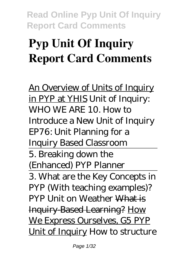# **Pyp Unit Of Inquiry Report Card Comments**

An Overview of Units of Inquiry in PYP at YHIS *Unit of Inquiry: WHO WE ARE* 10. How to Introduce a New Unit of Inquiry *EP76: Unit Planning for a Inquiry Based Classroom* 5. Breaking down the (Enhanced) PYP Planner 3. What are the Key Concepts in PYP (With teaching examples)? PYP Unit on Weather What is Inquiry-Based Learning? How We Express Ourselves, G5 PYP Unit of Inquiry *How to structure*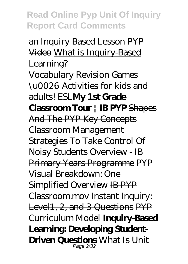#### *an Inquiry Based Lesson* PYP Video What is Inquiry-Based Learning?

Vocabulary Revision Games \u0026 Activities for kids and adults! ESL**My 1st Grade Classroom Tour | IB PYP** Shapes And The PYP Key Concepts *Classroom Management Strategies To Take Control Of Noisy Students* Overview - IB Primary Years Programme PYP Visual Breakdown: One Simplified Overview IB PYP Classroom.mov Instant Inquiry: Level1, 2, and 3 Questions PYP Curriculum Model **Inquiry-Based Learning: Developing Student-Driven Questions** What Is Unit Page 2/32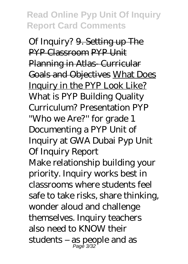Of Inquiry? 9. Setting up The PYP Classroom PYP Unit Planning in Atlas- Curricular Goals and Objectives What Does Inquiry in the PYP Look Like? What is PYP Building Quality Curriculum? Presentation PYP ''Who we Are?'' for grade 1 *Documenting a PYP Unit of Inquiry at GWA Dubai* Pyp Unit Of Inquiry Report Make relationship building your priority. Inquiry works best in classrooms where students feel safe to take risks, share thinking, wonder aloud and challenge themselves. Inquiry teachers also need to KNOW their students – as people and as Page 3/32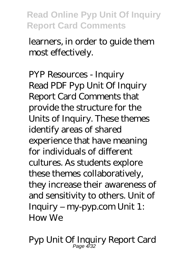learners, in order to guide them most effectively.

PYP Resources - Inquiry Read PDF Pyp Unit Of Inquiry Report Card Comments that provide the structure for the Units of Inquiry. These themes identify areas of shared experience that have meaning for individuals of different cultures. As students explore these themes collaboratively, they increase their awareness of and sensitivity to others. Unit of Inquiry – my-pyp.com Unit 1: How We

Pyp Unit Of Inquiry Report Card Page 4/32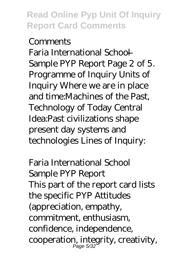#### **Comments**

Faria International School — Sample PYP Report Page 2 of 5. Programme of Inquiry Units of Inquiry Where we are in place and time:Machines of the Past, Technology of Today Central Idea:Past civilizations shape present day systems and technologies Lines of Inquiry:

Faria International School Sample PYP Report This part of the report card lists the specific PYP Attitudes (appreciation, empathy, commitment, enthusiasm, confidence, independence, cooperation, integrity, creativity, Page 5/32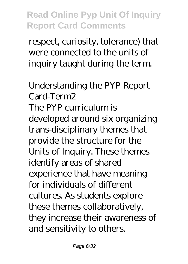respect, curiosity, tolerance) that were connected to the units of inquiry taught during the term.

Understanding the PYP Report Card-Term2 The PYP curriculum is developed around six organizing trans-disciplinary themes that provide the structure for the Units of Inquiry. These themes identify areas of shared experience that have meaning for individuals of different cultures. As students explore these themes collaboratively, they increase their awareness of and sensitivity to others.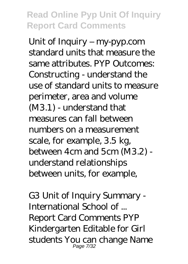Unit of Inquiry – my-pyp.com standard units that measure the same attributes. PYP Outcomes: Constructing - understand the use of standard units to measure perimeter, area and volume (M3.1) - understand that measures can fall between numbers on a measurement scale, for example, 3.5 kg, between 4cm and 5cm (M3.2) understand relationships between units, for example,

G3 Unit of Inquiry Summary - International School of ... Report Card Comments PYP Kindergarten Editable for Girl students You can change Name Page 7/32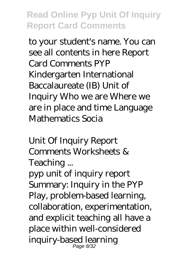to your student's name. You can see all contents in here Report Card Comments PYP Kindergarten International Baccalaureate (IB) Unit of Inquiry Who we are Where we are in place and time Language Mathematics Socia

Unit Of Inquiry Report Comments Worksheets & Teaching ...

pyp unit of inquiry report Summary: Inquiry in the PYP Play, problem-based learning, collaboration, experimentation, and explicit teaching all have a place within well-considered inquiry-based learning Page 8/32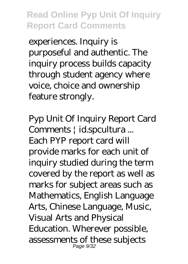experiences. Inquiry is purposeful and authentic. The inquiry process builds capacity through student agency where voice, choice and ownership feature strongly.

Pyp Unit Of Inquiry Report Card Comments | id.spcultura ... Each PYP report card will provide marks for each unit of inquiry studied during the term covered by the report as well as marks for subject areas such as Mathematics, English Language Arts, Chinese Language, Music, Visual Arts and Physical Education. Wherever possible, assessments of these subjects Page 9/32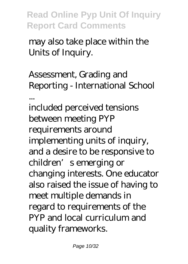may also take place within the Units of Inquiry.

Assessment, Grading and Reporting - International School ... included perceived tensions between meeting PYP requirements around implementing units of inquiry, and a desire to be responsive to children's emerging or changing interests. One educator also raised the issue of having to meet multiple demands in regard to requirements of the PYP and local curriculum and quality frameworks.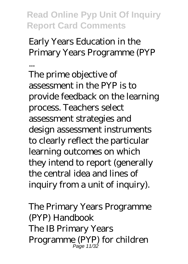Early Years Education in the Primary Years Programme (PYP ...

The prime objective of assessment in the PYP is to provide feedback on the learning process. Teachers select assessment strategies and design assessment instruments to clearly reflect the particular learning outcomes on which they intend to report (generally the central idea and lines of inquiry from a unit of inquiry).

The Primary Years Programme (PYP) Handbook The IB Primary Years Programme (PYP) for children Page 11/32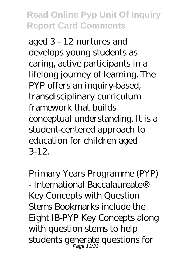aged 3 - 12 nurtures and develops young students as caring, active participants in a lifelong journey of learning. The PYP offers an inquiry-based, transdisciplinary curriculum framework that builds conceptual understanding. It is a student-centered approach to education for children aged 3-12.

Primary Years Programme (PYP) - International Baccalaureate® Key Concepts with Question Stems Bookmarks include the Eight IB-PYP Key Concepts along with question stems to help students generate questions for Page 12/32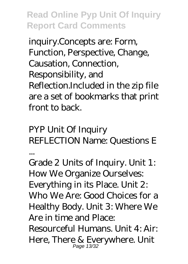inquiry.Concepts are: Form, Function, Perspective, Change, Causation, Connection, Responsibility, and Reflection.Included in the zip file are a set of bookmarks that print front to back.

PYP Unit Of Inquiry REFLECTION Name: Questions E ...

Grade 2 Units of Inquiry. Unit 1: How We Organize Ourselves: Everything in its Place. Unit 2: Who We Are: Good Choices for a Healthy Body. Unit 3: Where We Are in time and Place: Resourceful Humans. Unit 4: Air: Here, There & Everywhere. Unit Page 13/32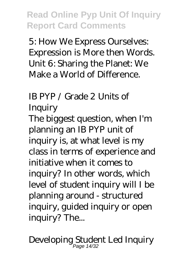5: How We Express Ourselves: Expression is More then Words. Unit 6: Sharing the Planet: We Make a World of Difference.

IB PYP / Grade 2 Units of

**Inquiry** 

The biggest question, when I'm planning an IB PYP unit of inquiry is, at what level is my class in terms of experience and initiative when it comes to inquiry? In other words, which level of student inquiry will I be planning around - structured inquiry, guided inquiry or open inquiry? The...

Developing Student Led Inquiry Page 14/32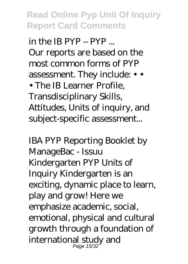in the IB PYP – PYP ... Our reports are based on the most common forms of PYP assessment. They include: • •

• The IB Learner Profile. Transdisciplinary Skills, Attitudes, Units of inquiry, and subject-specific assessment...

IBA PYP Reporting Booklet by ManageBac - Issuu Kindergarten PYP Units of Inquiry Kindergarten is an exciting, dynamic place to learn, play and grow! Here we emphasize academic, social, emotional, physical and cultural growth through a foundation of international study and Page 15/32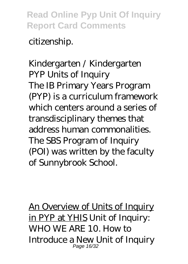citizenship.

Kindergarten / Kindergarten PYP Units of Inquiry The IB Primary Years Program (PYP) is a curriculum framework which centers around a series of transdisciplinary themes that address human commonalities. The SBS Program of Inquiry (POI) was written by the faculty of Sunnybrook School.

An Overview of Units of Inquiry in PYP at YHIS *Unit of Inquiry: WHO WE ARE* 10. How to Introduce a New Unit of Inquiry Page 16/32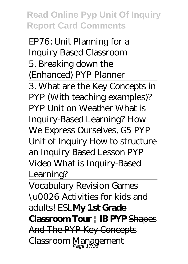*EP76: Unit Planning for a Inquiry Based Classroom* 5. Breaking down the (Enhanced) PYP Planner 3. What are the Key Concepts in PYP (With teaching examples)? PYP Unit on Weather What is Inquiry-Based Learning? How We Express Ourselves, G5 PYP Unit of Inquiry *How to structure an Inquiry Based Lesson* PYP Video What is Inquiry-Based Learning?

Vocabulary Revision Games \u0026 Activities for kids and adults! ESL**My 1st Grade Classroom Tour | IB PYP** Shapes And The PYP Key Concepts *Classroom Management* Page 17/32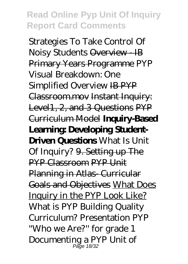*Strategies To Take Control Of Noisy Students* Overview - IB Primary Years Programme PYP Visual Breakdown: One Simplified Overview IB PYP Classroom.mov Instant Inquiry: Level1, 2, and 3 Questions PYP Curriculum Model **Inquiry-Based Learning: Developing Student-Driven Questions** What Is Unit Of Inquiry? 9. Setting up The PYP Classroom PYP Unit Planning in Atlas- Curricular Goals and Objectives What Does Inquiry in the PYP Look Like? What is PYP Building Quality Curriculum? Presentation PYP ''Who we Are?'' for grade 1 *Documenting a PYP Unit of* Page 18/32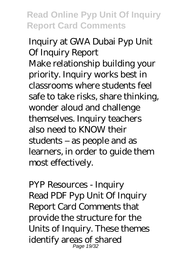*Inquiry at GWA Dubai* Pyp Unit Of Inquiry Report Make relationship building your priority. Inquiry works best in classrooms where students feel safe to take risks, share thinking, wonder aloud and challenge themselves. Inquiry teachers also need to KNOW their students – as people and as learners, in order to guide them most effectively.

PYP Resources - Inquiry Read PDF Pyp Unit Of Inquiry Report Card Comments that provide the structure for the Units of Inquiry. These themes identify areas of shared Page 19/32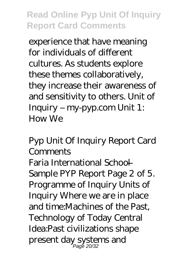experience that have meaning for individuals of different cultures. As students explore these themes collaboratively, they increase their awareness of and sensitivity to others. Unit of Inquiry – my-pyp.com Unit 1: How We

Pyp Unit Of Inquiry Report Card **Comments** Faria International School — Sample PYP Report Page 2 of 5. Programme of Inquiry Units of Inquiry Where we are in place and time:Machines of the Past, Technology of Today Central Idea:Past civilizations shape present day systems and Page 20/32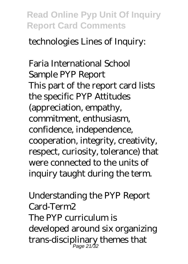technologies Lines of Inquiry:

Faria International School Sample PYP Report This part of the report card lists the specific PYP Attitudes (appreciation, empathy, commitment, enthusiasm, confidence, independence, cooperation, integrity, creativity, respect, curiosity, tolerance) that were connected to the units of inquiry taught during the term.

Understanding the PYP Report Card-Term2 The PYP curriculum is developed around six organizing trans-disciplinary themes that Page 21/32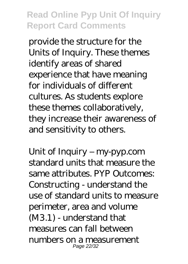provide the structure for the Units of Inquiry. These themes identify areas of shared experience that have meaning for individuals of different cultures. As students explore these themes collaboratively, they increase their awareness of and sensitivity to others.

Unit of Inquiry – my-pyp.com standard units that measure the same attributes. PYP Outcomes: Constructing - understand the use of standard units to measure perimeter, area and volume (M3.1) - understand that measures can fall between numbers on a measurement Page 22/32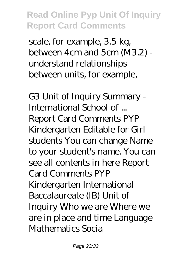scale, for example, 3.5 kg, between 4cm and 5cm (M3.2) understand relationships between units, for example,

G3 Unit of Inquiry Summary - International School of ... Report Card Comments PYP Kindergarten Editable for Girl students You can change Name to your student's name. You can see all contents in here Report Card Comments PYP Kindergarten International Baccalaureate (IB) Unit of Inquiry Who we are Where we are in place and time Language Mathematics Socia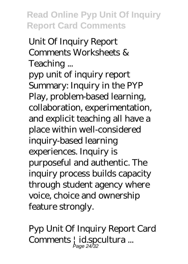Unit Of Inquiry Report Comments Worksheets & Teaching ...

pyp unit of inquiry report Summary: Inquiry in the PYP Play, problem-based learning, collaboration, experimentation, and explicit teaching all have a place within well-considered inquiry-based learning experiences. Inquiry is purposeful and authentic. The inquiry process builds capacity through student agency where voice, choice and ownership feature strongly.

Pyp Unit Of Inquiry Report Card Comments | id.spcultura ... Page 24/32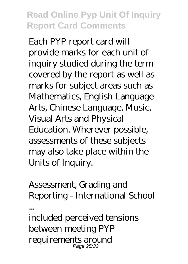Each PYP report card will provide marks for each unit of inquiry studied during the term covered by the report as well as marks for subject areas such as Mathematics, English Language Arts, Chinese Language, Music, Visual Arts and Physical Education. Wherever possible, assessments of these subjects may also take place within the Units of Inquiry.

Assessment, Grading and Reporting - International School

included perceived tensions between meeting PYP requirements around Page 25/32

...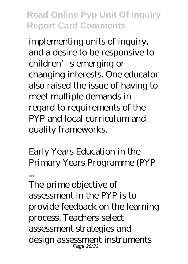implementing units of inquiry, and a desire to be responsive to children's emerging or changing interests. One educator also raised the issue of having to meet multiple demands in regard to requirements of the PYP and local curriculum and quality frameworks.

Early Years Education in the Primary Years Programme (PYP

... The prime objective of assessment in the PYP is to provide feedback on the learning process. Teachers select assessment strategies and design assessment instruments Page 26/32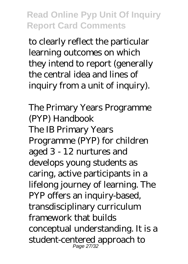to clearly reflect the particular learning outcomes on which they intend to report (generally the central idea and lines of inquiry from a unit of inquiry).

The Primary Years Programme (PYP) Handbook The IB Primary Years Programme (PYP) for children aged 3 - 12 nurtures and develops young students as caring, active participants in a lifelong journey of learning. The PYP offers an inquiry-based, transdisciplinary curriculum framework that builds conceptual understanding. It is a student-centered approach to Page 27/32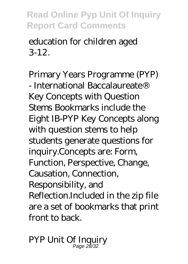education for children aged 3-12.

Primary Years Programme (PYP) - International Baccalaureate® Key Concepts with Question Stems Bookmarks include the Eight IB-PYP Key Concepts along with question stems to help students generate questions for inquiry.Concepts are: Form, Function, Perspective, Change, Causation, Connection, Responsibility, and Reflection.Included in the zip file are a set of bookmarks that print front to back.

PYP Unit Of Inquiry Page 28/32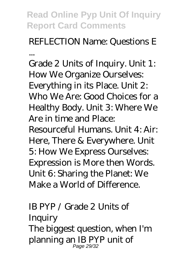## REFLECTION Name: Questions E

...

Grade 2 Units of Inquiry. Unit 1: How We Organize Ourselves: Everything in its Place. Unit 2: Who We Are: Good Choices for a Healthy Body. Unit 3: Where We Are in time and Place: Resourceful Humans. Unit 4: Air: Here, There & Everywhere. Unit 5: How We Express Ourselves: Expression is More then Words. Unit 6: Sharing the Planet: We Make a World of Difference.

#### IB PYP / Grade 2 Units of **Inquiry** The biggest question, when I'm planning an IB PYP unit of Page 29/32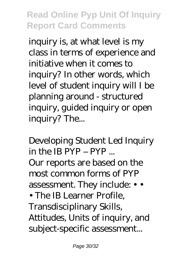inquiry is, at what level is my class in terms of experience and initiative when it comes to inquiry? In other words, which level of student inquiry will I be planning around - structured inquiry, guided inquiry or open inquiry? The...

Developing Student Led Inquiry in the IB PYP – PYP ... Our reports are based on the most common forms of PYP assessment. They include: • • • The IB Learner Profile Transdisciplinary Skills, Attitudes, Units of inquiry, and subject-specific assessment...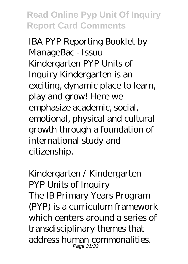IBA PYP Reporting Booklet by ManageBac - Issuu Kindergarten PYP Units of Inquiry Kindergarten is an exciting, dynamic place to learn, play and grow! Here we emphasize academic, social, emotional, physical and cultural growth through a foundation of international study and citizenship.

Kindergarten / Kindergarten PYP Units of Inquiry The IB Primary Years Program (PYP) is a curriculum framework which centers around a series of transdisciplinary themes that address human commonalities. Page 31/32